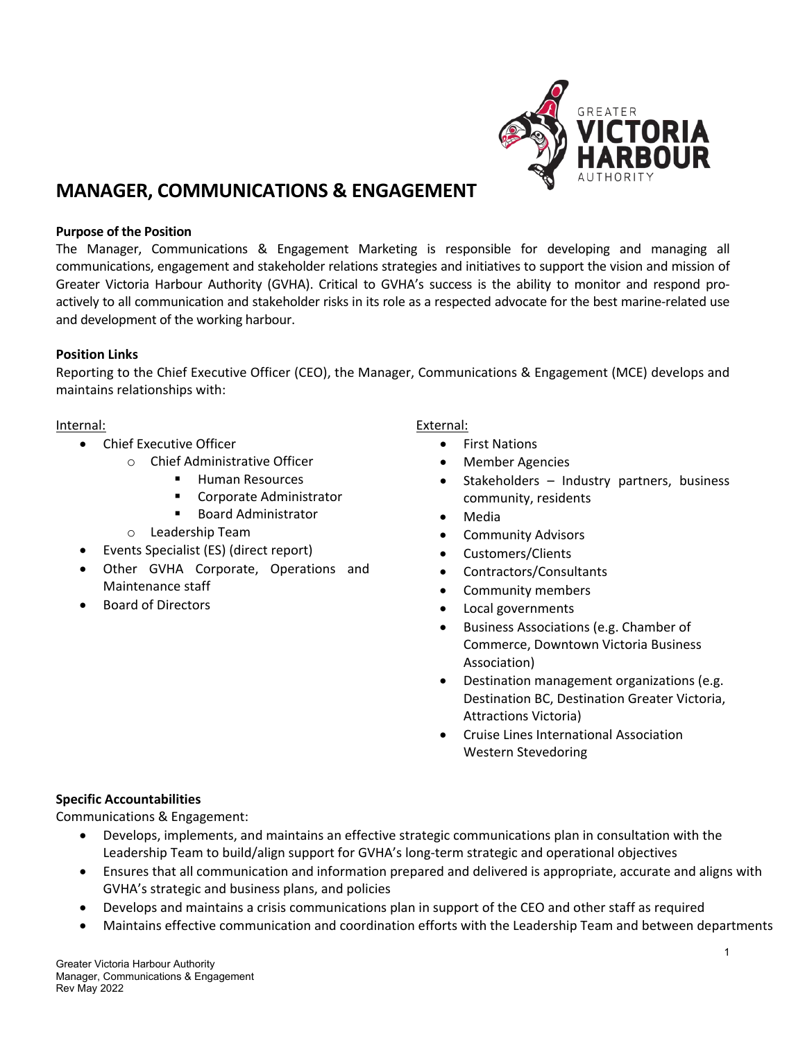

# **MANAGER, COMMUNICATIONS & ENGAGEMENT**

#### **Purpose of the Position**

The Manager, Communications & Engagement Marketing is responsible for developing and managing all communications, engagement and stakeholder relations strategies and initiatives to support the vision and mission of Greater Victoria Harbour Authority (GVHA). Critical to GVHA's success is the ability to monitor and respond proactively to all communication and stakeholder risks in its role as a respected advocate for the best marine-related use and development of the working harbour.

#### **Position Links**

Reporting to the Chief Executive Officer (CEO), the Manager, Communications & Engagement (MCE) develops and maintains relationships with:

#### Internal:

- Chief Executive Officer
	- o Chief Administrative Officer
		- **Human Resources**
		- Corporate Administrator
		- Board Administrator
	- o Leadership Team
- Events Specialist (ES) (direct report)
- Other GVHA Corporate, Operations and Maintenance staff
- Board of Directors

#### External:

- First Nations
- **Member Agencies**
- Stakeholders Industry partners, business community, residents
- Media
- Community Advisors
- Customers/Clients
- Contractors/Consultants
- Community members
- Local governments
- Business Associations (e.g. Chamber of Commerce, Downtown Victoria Business Association)
- Destination management organizations (e.g. Destination BC, Destination Greater Victoria, Attractions Victoria)
- Cruise Lines International Association Western Stevedoring

## **Specific Accountabilities**

Communications & Engagement:

- Develops, implements, and maintains an effective strategic communications plan in consultation with the Leadership Team to build/align support for GVHA's long-term strategic and operational objectives
- Ensures that all communication and information prepared and delivered is appropriate, accurate and aligns with GVHA's strategic and business plans, and policies
- Develops and maintains a crisis communications plan in support of the CEO and other staff as required
- Maintains effective communication and coordination efforts with the Leadership Team and between departments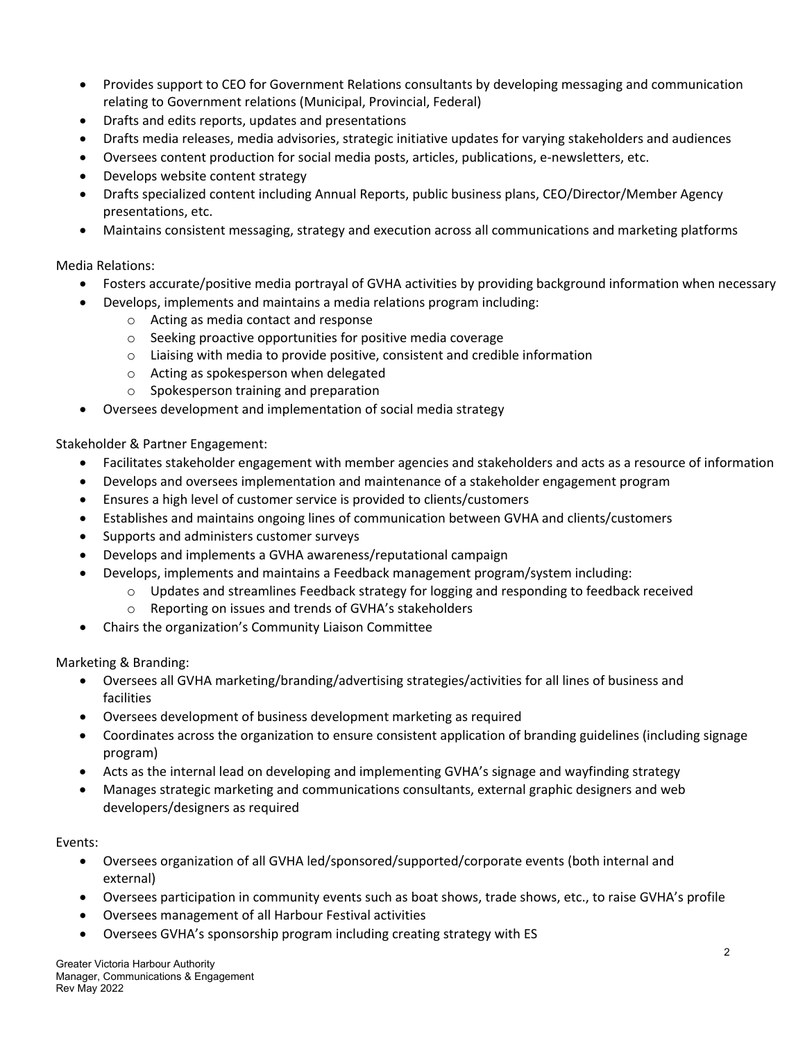- Provides support to CEO for Government Relations consultants by developing messaging and communication relating to Government relations (Municipal, Provincial, Federal)
- Drafts and edits reports, updates and presentations
- Drafts media releases, media advisories, strategic initiative updates for varying stakeholders and audiences
- Oversees content production for social media posts, articles, publications, e-newsletters, etc.
- Develops website content strategy
- Drafts specialized content including Annual Reports, public business plans, CEO/Director/Member Agency presentations, etc.
- Maintains consistent messaging, strategy and execution across all communications and marketing platforms

# Media Relations:

- Fosters accurate/positive media portrayal of GVHA activities by providing background information when necessary
	- Develops, implements and maintains a media relations program including:
		- o Acting as media contact and response
		- o Seeking proactive opportunities for positive media coverage
		- $\circ$  Liaising with media to provide positive, consistent and credible information
		- o Acting as spokesperson when delegated
		- o Spokesperson training and preparation
- Oversees development and implementation of social media strategy

# Stakeholder & Partner Engagement:

- Facilitates stakeholder engagement with member agencies and stakeholders and acts as a resource of information
- Develops and oversees implementation and maintenance of a stakeholder engagement program
- Ensures a high level of customer service is provided to clients/customers
- Establishes and maintains ongoing lines of communication between GVHA and clients/customers
- Supports and administers customer surveys
- Develops and implements a GVHA awareness/reputational campaign
- Develops, implements and maintains a Feedback management program/system including:
	- o Updates and streamlines Feedback strategy for logging and responding to feedback received
	- o Reporting on issues and trends of GVHA's stakeholders
- Chairs the organization's Community Liaison Committee

Marketing & Branding:

- Oversees all GVHA marketing/branding/advertising strategies/activities for all lines of business and facilities
- Oversees development of business development marketing as required
- Coordinates across the organization to ensure consistent application of branding guidelines (including signage program)
- Acts as the internal lead on developing and implementing GVHA's signage and wayfinding strategy
- Manages strategic marketing and communications consultants, external graphic designers and web developers/designers as required

## Events:

- Oversees organization of all GVHA led/sponsored/supported/corporate events (both internal and external)
- Oversees participation in community events such as boat shows, trade shows, etc., to raise GVHA's profile
- Oversees management of all Harbour Festival activities
- Oversees GVHA's sponsorship program including creating strategy with ES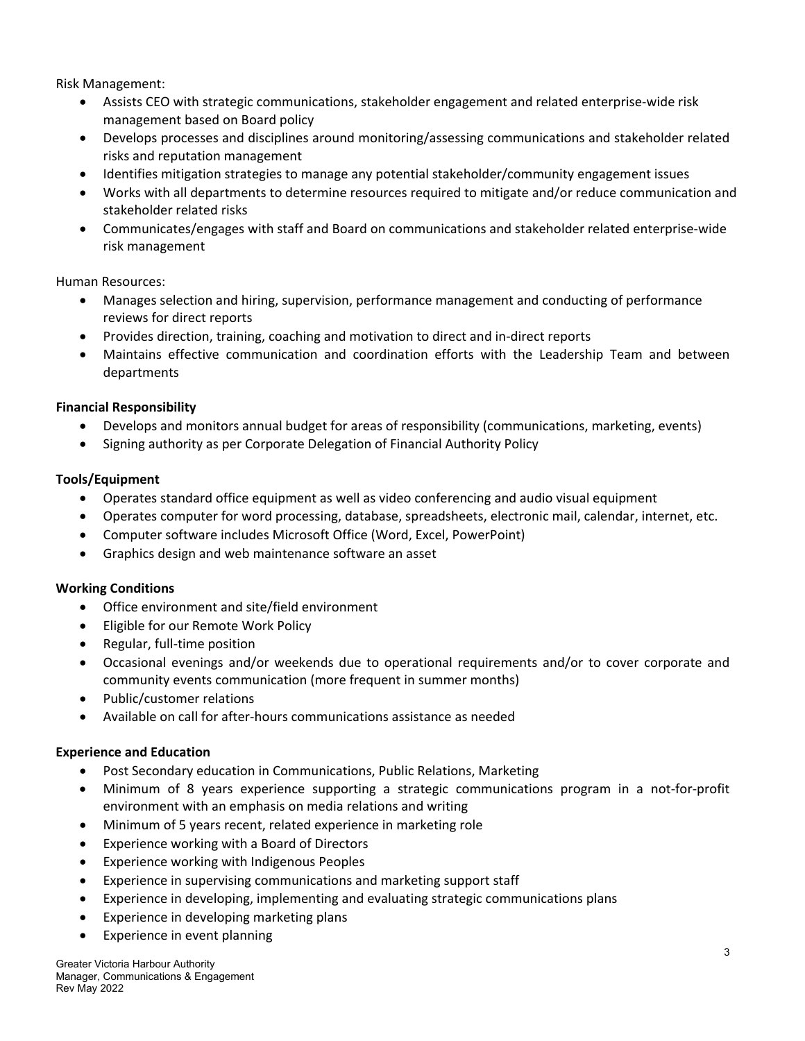Risk Management:

- Assists CEO with strategic communications, stakeholder engagement and related enterprise-wide risk management based on Board policy
- Develops processes and disciplines around monitoring/assessing communications and stakeholder related risks and reputation management
- Identifies mitigation strategies to manage any potential stakeholder/community engagement issues
- Works with all departments to determine resources required to mitigate and/or reduce communication and stakeholder related risks
- Communicates/engages with staff and Board on communications and stakeholder related enterprise-wide risk management

Human Resources:

- Manages selection and hiring, supervision, performance management and conducting of performance reviews for direct reports
- Provides direction, training, coaching and motivation to direct and in-direct reports
- Maintains effective communication and coordination efforts with the Leadership Team and between departments

# **Financial Responsibility**

- Develops and monitors annual budget for areas of responsibility (communications, marketing, events)
- Signing authority as per Corporate Delegation of Financial Authority Policy

# **Tools/Equipment**

- Operates standard office equipment as well as video conferencing and audio visual equipment
- Operates computer for word processing, database, spreadsheets, electronic mail, calendar, internet, etc.
- Computer software includes Microsoft Office (Word, Excel, PowerPoint)
- Graphics design and web maintenance software an asset

## **Working Conditions**

- Office environment and site/field environment
- Eligible for our Remote Work Policy
- Regular, full-time position
- Occasional evenings and/or weekends due to operational requirements and/or to cover corporate and community events communication (more frequent in summer months)
- Public/customer relations
- Available on call for after-hours communications assistance as needed

## **Experience and Education**

- Post Secondary education in Communications, Public Relations, Marketing
- Minimum of 8 years experience supporting a strategic communications program in a not-for-profit environment with an emphasis on media relations and writing
- Minimum of 5 years recent, related experience in marketing role
- Experience working with a Board of Directors
- Experience working with Indigenous Peoples
- Experience in supervising communications and marketing support staff
- Experience in developing, implementing and evaluating strategic communications plans
- Experience in developing marketing plans
- Experience in event planning